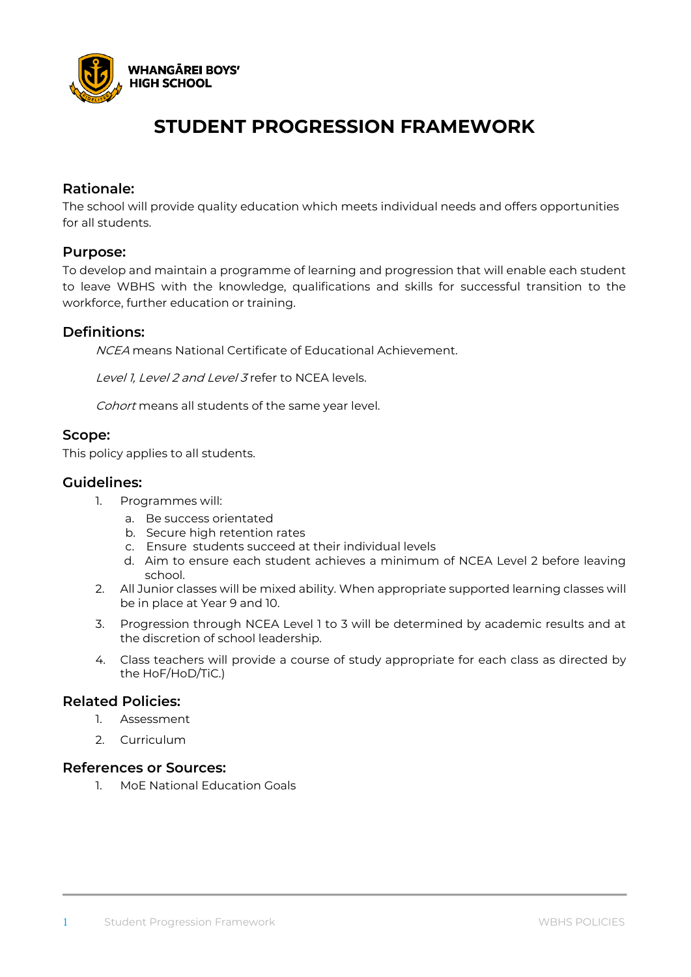

## **STUDENT PROGRESSION FRAMEWORK**

#### **Rationale:**

The school will provide quality education which meets individual needs and offers opportunities for all students.

#### **Purpose:**

To develop and maintain a programme of learning and progression that will enable each student to leave WBHS with the knowledge, qualifications and skills for successful transition to the workforce, further education or training.

#### **Definitions:**

NCEA means National Certificate of Educational Achievement.

Level 1, Level 2 and Level 3 refer to NCFA levels.

Cohort means all students of the same year level.

#### **Scope:**

This policy applies to all students.

#### **Guidelines:**

- 1. Programmes will:
	- a. Be success orientated
	- b. Secure high retention rates
	- c. Ensure students succeed at their individual levels
	- d. Aim to ensure each student achieves a minimum of NCEA Level 2 before leaving school.
- 2. All Junior classes will be mixed ability. When appropriate supported learning classes will be in place at Year 9 and 10.
- 3. Progression through NCEA Level 1 to 3 will be determined by academic results and at the discretion of school leadership.
- 4. Class teachers will provide a course of study appropriate for each class as directed by the HoF/HoD/TiC.)

#### **Related Policies:**

- 1. Assessment
- 2. Curriculum

#### **References or Sources:**

1. MoE National Education Goals